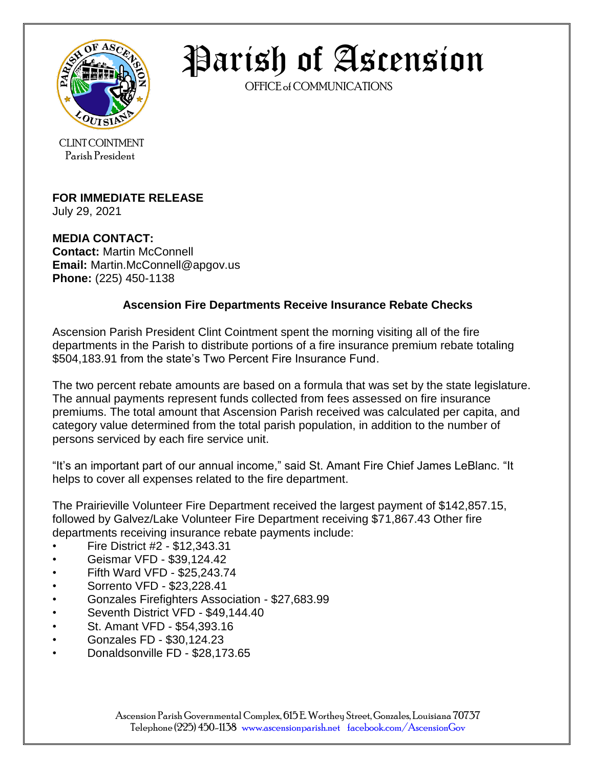

Parish of Ascension

OFFICE of COMMUNICATIONS

CLINT COINTMENT Parish President

## **FOR IMMEDIATE RELEASE**

July 29, 2021

**MEDIA CONTACT: Contact:** Martin McConnell **Email:** Martin.McConnell@apgov.us **Phone:** (225) 450-1138

## **Ascension Fire Departments Receive Insurance Rebate Checks**

Ascension Parish President Clint Cointment spent the morning visiting all of the fire departments in the Parish to distribute portions of a fire insurance premium rebate totaling \$504,183.91 from the state's Two Percent Fire Insurance Fund.

The two percent rebate amounts are based on a formula that was set by the state legislature. The annual payments represent funds collected from fees assessed on fire insurance premiums. The total amount that Ascension Parish received was calculated per capita, and category value determined from the total parish population, in addition to the number of persons serviced by each fire service unit.

"It's an important part of our annual income," said St. Amant Fire Chief James LeBlanc. "It helps to cover all expenses related to the fire department.

The Prairieville Volunteer Fire Department received the largest payment of \$142,857.15, followed by Galvez/Lake Volunteer Fire Department receiving \$71,867.43 Other fire departments receiving insurance rebate payments include:

- Fire District #2 \$12,343.31
- Geismar VFD \$39,124.42
- Fifth Ward VFD \$25,243.74
- Sorrento VFD \$23,228.41
- Gonzales Firefighters Association \$27,683.99
- Seventh District VFD \$49,144.40
- St. Amant VFD \$54,393.16
- Gonzales FD \$30,124.23
- Donaldsonville FD \$28,173.65